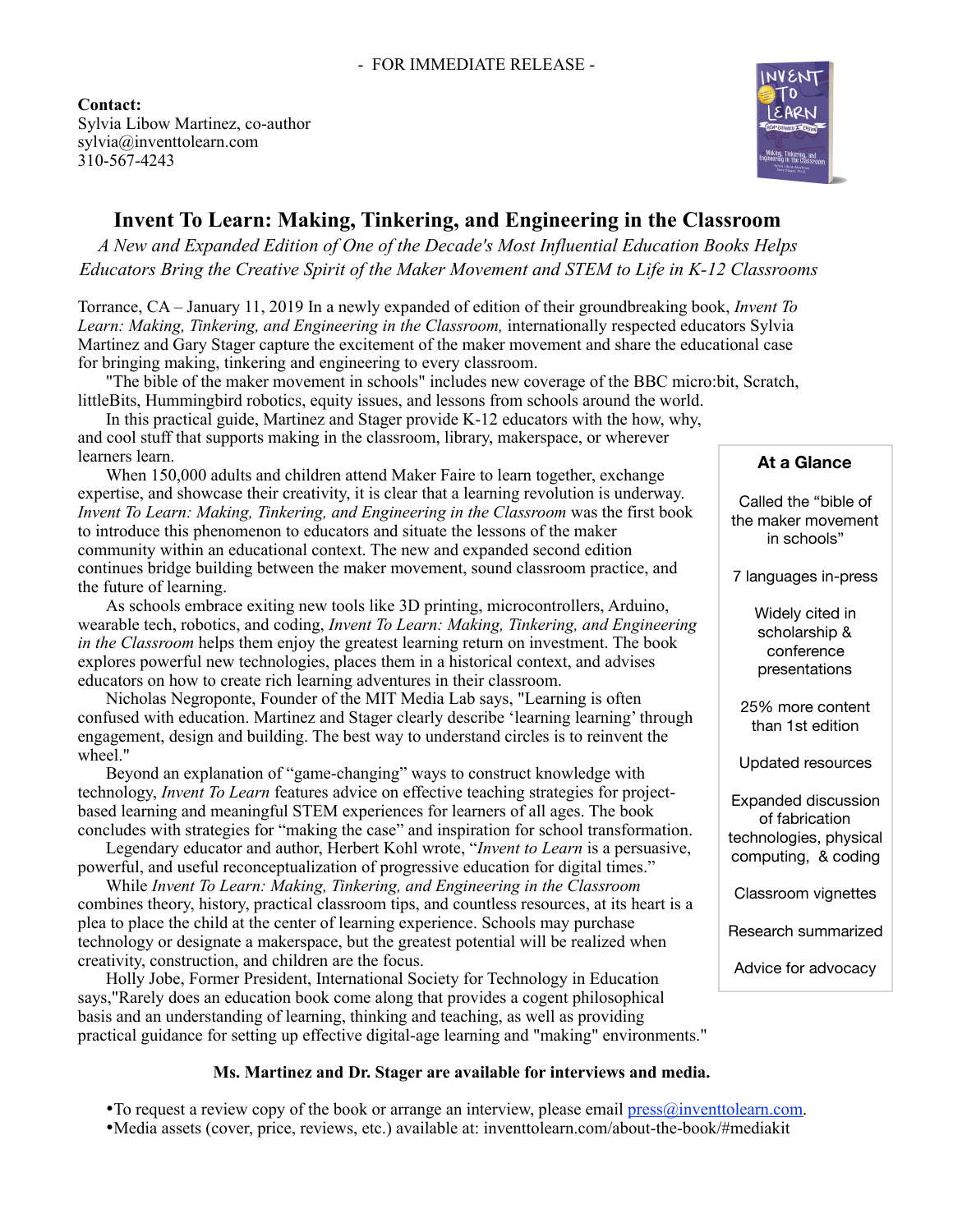

# **Invent To Learn: Making, Tinkering, and Engineering in the Classroom**

*A New and Expanded Edition of One of the Decade's Most Influential Education Books Helps Educators Bring the Creative Spirit of the Maker Movement and STEM to Life in K-12 Classrooms* 

Torrance, CA – January 11, 2019 In a newly expanded of edition of their groundbreaking book, *Invent To Learn: Making, Tinkering, and Engineering in the Classroom,* internationally respected educators Sylvia Martinez and Gary Stager capture the excitement of the maker movement and share the educational case for bringing making, tinkering and engineering to every classroom.

"The bible of the maker movement in schools" includes new coverage of the BBC micro:bit, Scratch, littleBits, Hummingbird robotics, equity issues, and lessons from schools around the world.

In this practical guide, Martinez and Stager provide K-12 educators with the how, why, and cool stuff that supports making in the classroom, library, makerspace, or wherever learners learn.

When 150,000 adults and children attend Maker Faire to learn together, exchange expertise, and showcase their creativity, it is clear that a learning revolution is underway. *Invent To Learn: Making, Tinkering, and Engineering in the Classroom* was the first book to introduce this phenomenon to educators and situate the lessons of the maker community within an educational context. The new and expanded second edition continues bridge building between the maker movement, sound classroom practice, and the future of learning.

As schools embrace exiting new tools like 3D printing, microcontrollers, Arduino, wearable tech, robotics, and coding, *Invent To Learn: Making, Tinkering, and Engineering in the Classroom* helps them enjoy the greatest learning return on investment. The book explores powerful new technologies, places them in a historical context, and advises educators on how to create rich learning adventures in their classroom.

Nicholas Negroponte, Founder of the MIT Media Lab says, "Learning is often confused with education. Martinez and Stager clearly describe 'learning learning' through engagement, design and building. The best way to understand circles is to reinvent the wheel."

Beyond an explanation of "game-changing" ways to construct knowledge with technology, *Invent To Learn* features advice on effective teaching strategies for projectbased learning and meaningful STEM experiences for learners of all ages. The book concludes with strategies for "making the case" and inspiration for school transformation.

Legendary educator and author, Herbert Kohl wrote, "*Invent to Learn* is a persuasive, powerful, and useful reconceptualization of progressive education for digital times."

While *Invent To Learn: Making, Tinkering, and Engineering in the Classroom*  combines theory, history, practical classroom tips, and countless resources, at its heart is a plea to place the child at the center of learning experience. Schools may purchase technology or designate a makerspace, but the greatest potential will be realized when creativity, construction, and children are the focus.

Holly Jobe, Former President, International Society for Technology in Education says,"Rarely does an education book come along that provides a cogent philosophical basis and an understanding of learning, thinking and teaching, as well as providing practical guidance for setting up effective digital-age learning and "making" environments."

# **Ms. Martinez and Dr. Stager are available for interviews and media.**

•To request a review copy of the book or arrange an interview, please email [press@inventtolearn.com.](mailto:press@inventtolearn.com) •Media assets (cover, price, reviews, etc.) available at: inventtolearn.com/about-the-book/#mediakit

# **At a Glance**

Called the "bible of the maker movement in schools"

7 languages in-press

Widely cited in scholarship & conference presentations

25% more content than 1st edition

Updated resources

Expanded discussion of fabrication technologies, physical computing, & coding

Classroom vignettes

Research summarized

Advice for advocacy